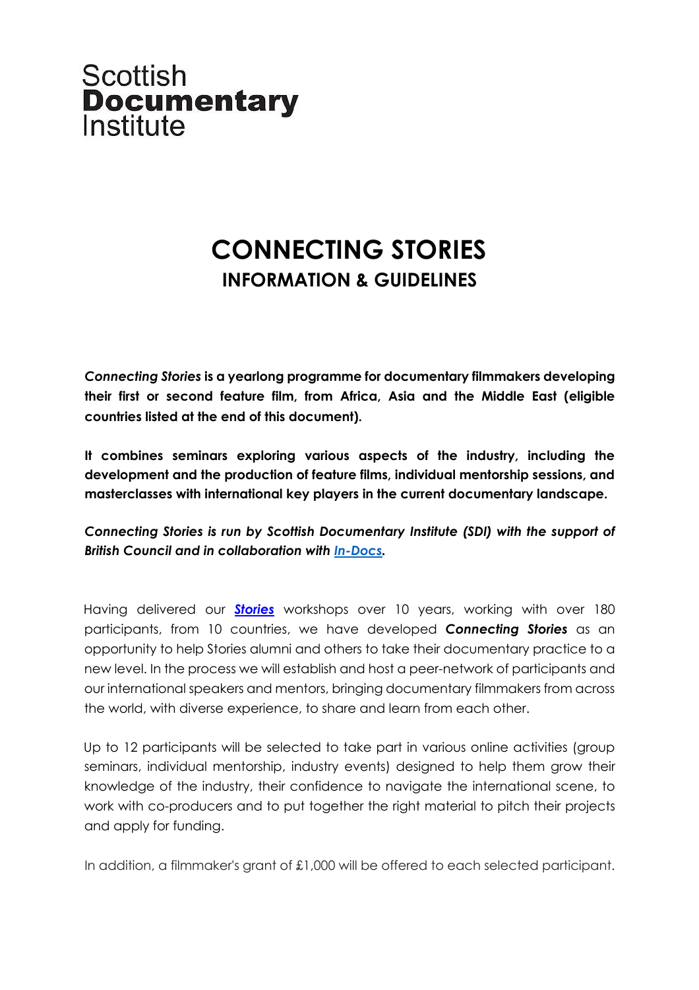

# **CONNECTING STORIES INFORMATION & GUIDELINES**

*Connecting Stories* **is a yearlong programme for documentary filmmakers developing their first or second feature film, from Africa, Asia and the Middle East (eligible countries listed at the end of this document).** 

**It combines seminars exploring various aspects of the industry, including the development and the production of feature films, individual mentorship sessions, and masterclasses with international key players in the current documentary landscape.**

*Connecting Stories is run by Scottish Documentary Institute (SDI) with the support of British Council and in collaboration with In-Docs.*

Having delivered our *Stories* workshops over 10 years, working with over 180 participants, from 10 countries, we have developed *Connecting Stories* as an opportunity to help Stories alumni and others to take their documentary practice to a new level. In the process we will establish and host a peer-network of participants and our international speakers and mentors, bringing documentary filmmakers from across the world, with diverse experience, to share and learn from each other.

Up to 12 participants will be selected to take part in various online activities (group seminars, individual mentorship, industry events) designed to help them grow their knowledge of the industry, their confidence to navigate the international scene, to work with co-producers and to put together the right material to pitch their projects and apply for funding.

In addition, a filmmaker's grant of £1,000 will be offered to each selected participant.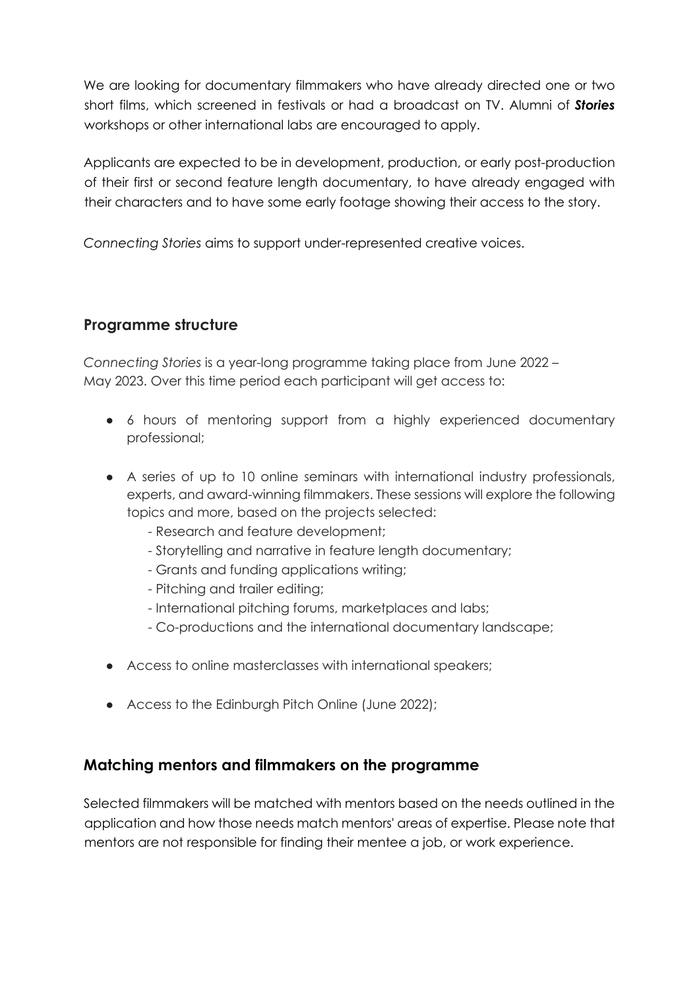We are looking for documentary filmmakers who have already directed one or two short films, which screened in festivals or had a broadcast on TV. Alumni of *Stories* workshops or other international labs are encouraged to apply.

Applicants are expected to be in development, production, or early post-production of their first or second feature length documentary, to have already engaged with their characters and to have some early footage showing their access to the story.

*Connecting Stories* aims to support under-represented creative voices.

# **Programme structure**

*Connecting Stories* is a year-long programme taking place from June 2022 – May 2023. Over this time period each participant will get access to:

- 6 hours of mentoring support from a highly experienced documentary professional;
- A series of up to 10 online seminars with international industry professionals, experts, and award-winning filmmakers. These sessions will explore the following topics and more, based on the projects selected:
	- Research and feature development;
	- Storytelling and narrative in feature length documentary;
	- Grants and funding applications writing;
	- Pitching and trailer editing;
	- International pitching forums, marketplaces and labs;
	- Co-productions and the international documentary landscape;
- Access to online masterclasses with international speakers;
- Access to the Edinburgh Pitch Online (June 2022);

#### **Matching mentors and filmmakers on the programme**

Selected filmmakers will be matched with mentors based on the needs outlined in the application and how those needs match mentors' areas of expertise. Please note that mentors are not responsible for finding their mentee a job, or work experience.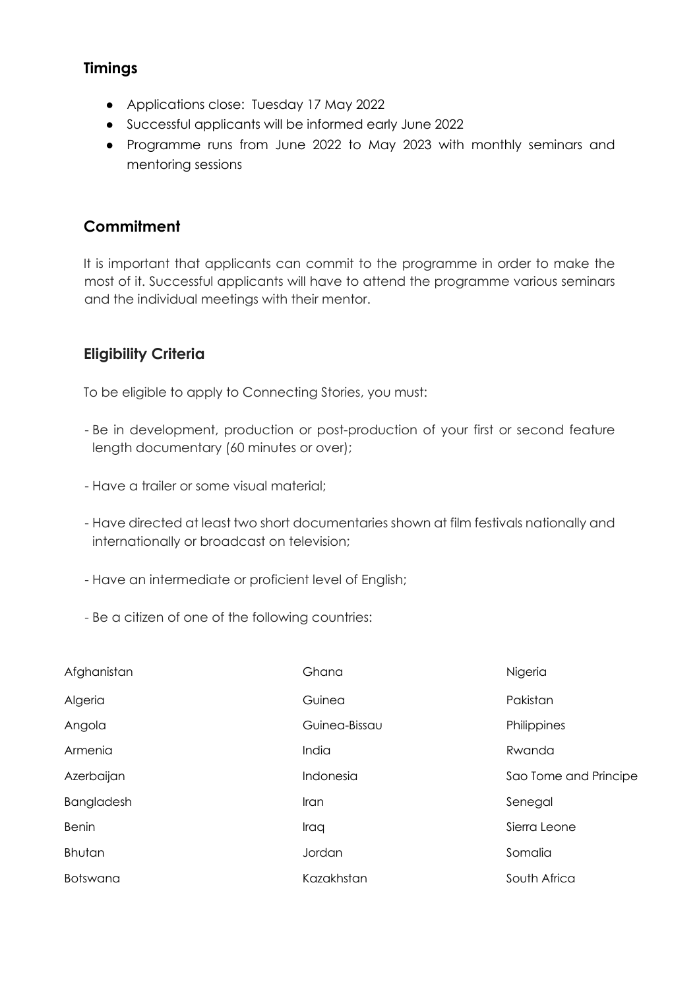## **Timings**

- Applications close: Tuesday 17 May 2022
- Successful applicants will be informed early June 2022
- Programme runs from June 2022 to May 2023 with monthly seminars and mentoring sessions

# **Commitment**

It is important that applicants can commit to the programme in order to make the most of it. Successful applicants will have to attend the programme various seminars and the individual meetings with their mentor.

# **Eligibility Criteria**

To be eligible to apply to Connecting Stories, you must:

- Be in development, production or post-production of your first or second feature length documentary (60 minutes or over);
- Have a trailer or some visual material;
- Have directed at least two short documentaries shown at film festivals nationally and internationally or broadcast on television;
- Have an intermediate or proficient level of English;
- Be a citizen of one of the following countries:

| Afghanistan     | Ghana         | Nigeria               |
|-----------------|---------------|-----------------------|
| Algeria         | Guinea        | Pakistan              |
| Angola          | Guinea-Bissau | Philippines           |
| Armenia         | India         | Rwanda                |
| Azerbaijan      | Indonesia     | Sao Tome and Principe |
| Bangladesh      | <i>Iran</i>   | Senegal               |
| <b>Benin</b>    | Iraq          | Sierra Leone          |
| Bhutan          | Jordan        | Somalia               |
| <b>Botswana</b> | Kazakhstan    | South Africa          |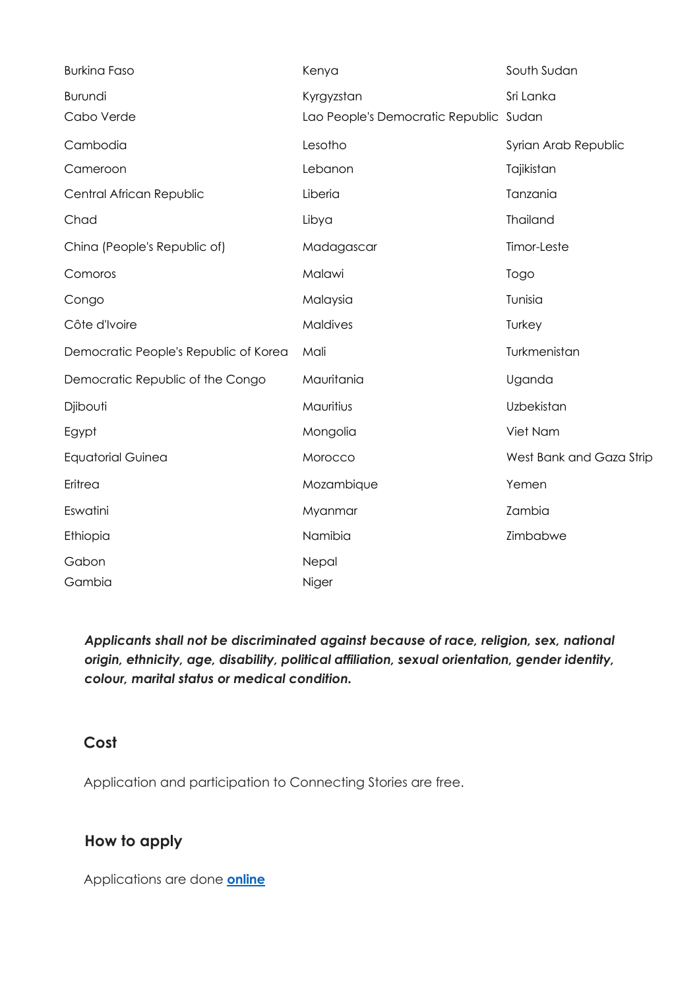| <b>Burkina Faso</b>                   | Kenya                                                | South Sudan              |
|---------------------------------------|------------------------------------------------------|--------------------------|
| Burundi<br>Cabo Verde                 | Kyrgyzstan<br>Lao People's Democratic Republic Sudan | Sri Lanka                |
| Cambodia                              | Lesotho                                              | Syrian Arab Republic     |
| Cameroon                              | Lebanon                                              | Tajikistan               |
| Central African Republic              | Liberia                                              | Tanzania                 |
| Chad                                  | Libya                                                | Thailand                 |
| China (People's Republic of)          | Madagascar                                           | Timor-Leste              |
| Comoros                               | Malawi                                               | Togo                     |
| Congo                                 | Malaysia                                             | Tunisia                  |
| Côte d'Ivoire                         | <b>Maldives</b>                                      | Turkey                   |
| Democratic People's Republic of Korea | Mali                                                 | Turkmenistan             |
| Democratic Republic of the Congo      | Mauritania                                           | Uganda                   |
| Djibouti                              | Mauritius                                            | Uzbekistan               |
| Egypt                                 | Mongolia                                             | Viet Nam                 |
| <b>Equatorial Guinea</b>              | Morocco                                              | West Bank and Gaza Strip |
| Eritrea                               | Mozambique                                           | Yemen                    |
| Eswatini                              | Myanmar                                              | Zambia                   |
| Ethiopia                              | Namibia                                              | Zimbabwe                 |
| Gabon                                 | Nepal                                                |                          |
| Gambia                                | Niger                                                |                          |

*Applicants shall not be discriminated against because of race, religion, sex, national origin, ethnicity, age, disability, political affiliation, sexual orientation, gender identity, colour, marital status or medical condition.* 

## **Cost**

Application and participation to Connecting Stories are free.

## **How to apply**

Applications are done **online**